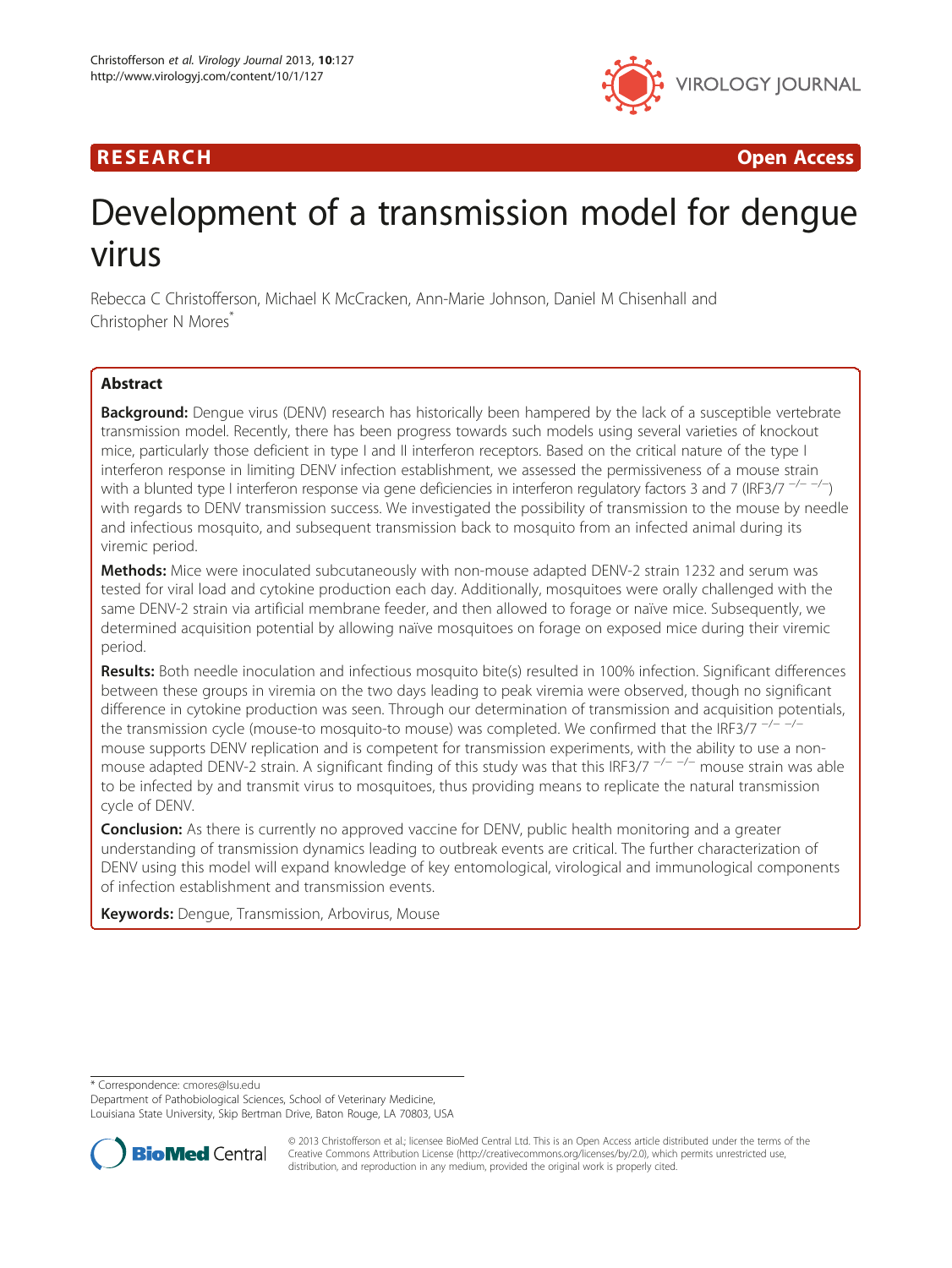# R E S EAR CH Open Access



# Development of a transmission model for dengue virus

Rebecca C Christofferson, Michael K McCracken, Ann-Marie Johnson, Daniel M Chisenhall and Christopher N Mores<sup>\*</sup>

# **Abstract**

Background: Dengue virus (DENV) research has historically been hampered by the lack of a susceptible vertebrate transmission model. Recently, there has been progress towards such models using several varieties of knockout mice, particularly those deficient in type I and II interferon receptors. Based on the critical nature of the type I interferon response in limiting DENV infection establishment, we assessed the permissiveness of a mouse strain with a blunted type I interferon response via gene deficiencies in interferon regulatory factors 3 and 7 (IRF3/7 <sup>-/--/-</sup>) with regards to DENV transmission success. We investigated the possibility of transmission to the mouse by needle and infectious mosquito, and subsequent transmission back to mosquito from an infected animal during its viremic period.

Methods: Mice were inoculated subcutaneously with non-mouse adapted DENV-2 strain 1232 and serum was tested for viral load and cytokine production each day. Additionally, mosquitoes were orally challenged with the same DENV-2 strain via artificial membrane feeder, and then allowed to forage or naïve mice. Subsequently, we determined acquisition potential by allowing naïve mosquitoes on forage on exposed mice during their viremic period.

Results: Both needle inoculation and infectious mosquito bite(s) resulted in 100% infection. Significant differences between these groups in viremia on the two days leading to peak viremia were observed, though no significant difference in cytokine production was seen. Through our determination of transmission and acquisition potentials, the transmission cycle (mouse-to mosquito-to mouse) was completed. We confirmed that the IRF3/7  $^{-/- -/-}$ mouse supports DENV replication and is competent for transmission experiments, with the ability to use a nonmouse adapted DENV-2 strain. A significant finding of this study was that this IRF3/7  $^{-/-}$   $^{-/-}$  mouse strain was able to be infected by and transmit virus to mosquitoes, thus providing means to replicate the natural transmission cycle of DENV.

**Conclusion:** As there is currently no approved vaccine for DENV, public health monitoring and a greater understanding of transmission dynamics leading to outbreak events are critical. The further characterization of DENV using this model will expand knowledge of key entomological, virological and immunological components of infection establishment and transmission events.

Keywords: Dengue, Transmission, Arbovirus, Mouse

\* Correspondence: [cmores@lsu.edu](mailto:cmores@lsu.edu)

Department of Pathobiological Sciences, School of Veterinary Medicine, Louisiana State University, Skip Bertman Drive, Baton Rouge, LA 70803, USA



© 2013 Christofferson et al.; licensee BioMed Central Ltd. This is an Open Access article distributed under the terms of the Creative Commons Attribution License (<http://creativecommons.org/licenses/by/2.0>), which permits unrestricted use, distribution, and reproduction in any medium, provided the original work is properly cited.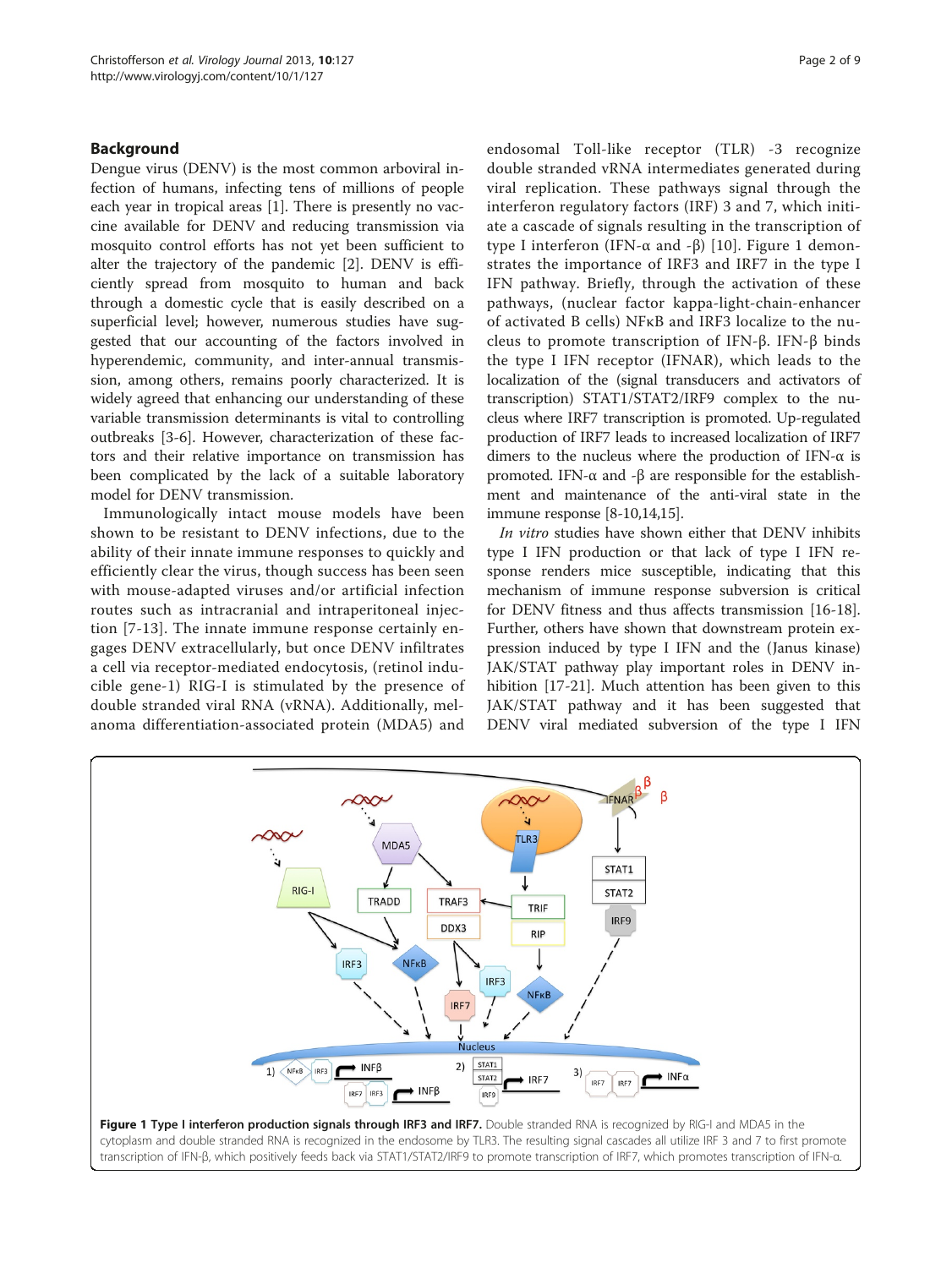# Background

Dengue virus (DENV) is the most common arboviral infection of humans, infecting tens of millions of people each year in tropical areas [\[1](#page-7-0)]. There is presently no vaccine available for DENV and reducing transmission via mosquito control efforts has not yet been sufficient to alter the trajectory of the pandemic [\[2](#page-7-0)]. DENV is efficiently spread from mosquito to human and back through a domestic cycle that is easily described on a superficial level; however, numerous studies have suggested that our accounting of the factors involved in hyperendemic, community, and inter-annual transmission, among others, remains poorly characterized. It is widely agreed that enhancing our understanding of these variable transmission determinants is vital to controlling outbreaks [[3-6](#page-7-0)]. However, characterization of these factors and their relative importance on transmission has been complicated by the lack of a suitable laboratory model for DENV transmission.

Immunologically intact mouse models have been shown to be resistant to DENV infections, due to the ability of their innate immune responses to quickly and efficiently clear the virus, though success has been seen with mouse-adapted viruses and/or artificial infection routes such as intracranial and intraperitoneal injection [\[7](#page-7-0)-[13](#page-7-0)]. The innate immune response certainly engages DENV extracellularly, but once DENV infiltrates a cell via receptor-mediated endocytosis, (retinol inducible gene-1) RIG-I is stimulated by the presence of double stranded viral RNA (vRNA). Additionally, melanoma differentiation-associated protein (MDA5) and

endosomal Toll-like receptor (TLR) -3 recognize double stranded vRNA intermediates generated during viral replication. These pathways signal through the interferon regulatory factors (IRF) 3 and 7, which initiate a cascade of signals resulting in the transcription of type I interferon (IFN-α and -β) [\[10](#page-7-0)]. Figure 1 demonstrates the importance of IRF3 and IRF7 in the type I IFN pathway. Briefly, through the activation of these pathways, (nuclear factor kappa-light-chain-enhancer of activated B cells) NFκB and IRF3 localize to the nucleus to promote transcription of IFN-β. IFN-β binds the type I IFN receptor (IFNAR), which leads to the localization of the (signal transducers and activators of transcription) STAT1/STAT2/IRF9 complex to the nucleus where IRF7 transcription is promoted. Up-regulated production of IRF7 leads to increased localization of IRF7 dimers to the nucleus where the production of IFN- $\alpha$  is promoted. IFN-α and -β are responsible for the establishment and maintenance of the anti-viral state in the immune response [[8-10,14,15\]](#page-7-0).

In vitro studies have shown either that DENV inhibits type I IFN production or that lack of type I IFN response renders mice susceptible, indicating that this mechanism of immune response subversion is critical for DENV fitness and thus affects transmission [\[16-18](#page-7-0)]. Further, others have shown that downstream protein expression induced by type I IFN and the (Janus kinase) JAK/STAT pathway play important roles in DENV inhibition [[17-21\]](#page-7-0). Much attention has been given to this JAK/STAT pathway and it has been suggested that DENV viral mediated subversion of the type I IFN

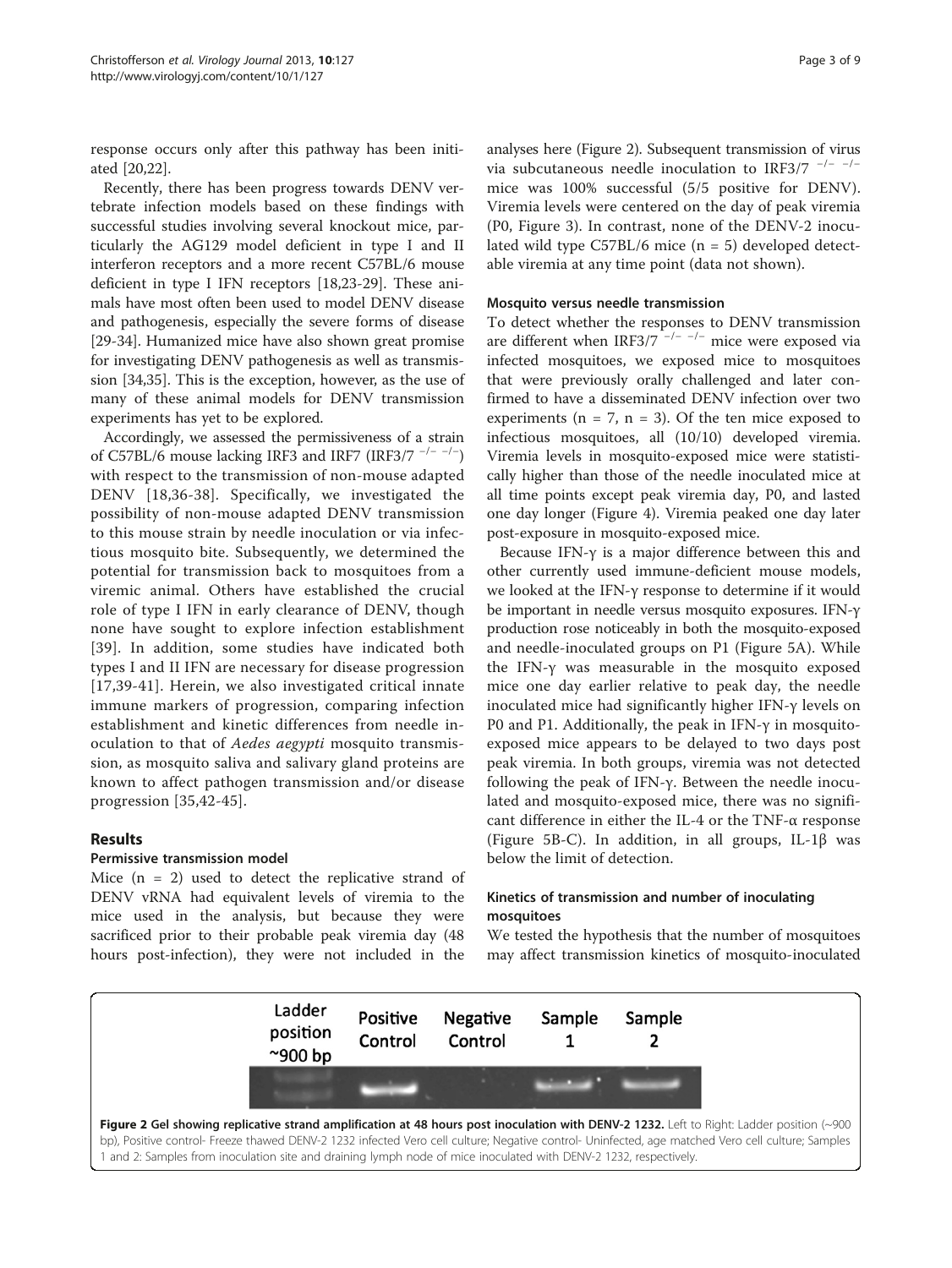<span id="page-2-0"></span>response occurs only after this pathway has been initiated [[20,22\]](#page-7-0).

Recently, there has been progress towards DENV vertebrate infection models based on these findings with successful studies involving several knockout mice, particularly the AG129 model deficient in type I and II interferon receptors and a more recent C57BL/6 mouse deficient in type I IFN receptors [[18](#page-7-0),[23](#page-7-0)-[29\]](#page-8-0). These animals have most often been used to model DENV disease and pathogenesis, especially the severe forms of disease [[29-34](#page-8-0)]. Humanized mice have also shown great promise for investigating DENV pathogenesis as well as transmission [[34,35](#page-8-0)]. This is the exception, however, as the use of many of these animal models for DENV transmission experiments has yet to be explored.

Accordingly, we assessed the permissiveness of a strain of C57BL/6 mouse lacking IRF3 and IRF7 (IRF3/7<sup>-/--/-</sup>) with respect to the transmission of non-mouse adapted DENV [[18](#page-7-0)[,36-38\]](#page-8-0). Specifically, we investigated the possibility of non-mouse adapted DENV transmission to this mouse strain by needle inoculation or via infectious mosquito bite. Subsequently, we determined the potential for transmission back to mosquitoes from a viremic animal. Others have established the crucial role of type I IFN in early clearance of DENV, though none have sought to explore infection establishment [[39](#page-8-0)]. In addition, some studies have indicated both types I and II IFN are necessary for disease progression [[17](#page-7-0),[39-41\]](#page-8-0). Herein, we also investigated critical innate immune markers of progression, comparing infection establishment and kinetic differences from needle inoculation to that of Aedes aegypti mosquito transmission, as mosquito saliva and salivary gland proteins are known to affect pathogen transmission and/or disease progression [[35](#page-8-0),[42-45\]](#page-8-0).

# Results

#### Permissive transmission model

Mice  $(n = 2)$  used to detect the replicative strand of DENV vRNA had equivalent levels of viremia to the mice used in the analysis, but because they were sacrificed prior to their probable peak viremia day (48 hours post-infection), they were not included in the

analyses here (Figure 2). Subsequent transmission of virus via subcutaneous needle inoculation to IRF3/7  $^{-/-}$  -/mice was 100% successful (5/5 positive for DENV). Viremia levels were centered on the day of peak viremia (P0, Figure [3](#page-3-0)). In contrast, none of the DENV-2 inoculated wild type C57BL/6 mice (n = 5) developed detectable viremia at any time point (data not shown).

#### Mosquito versus needle transmission

To detect whether the responses to DENV transmission are different when IRF3/7<sup> $-/-$ </sup> – $-/-$  mice were exposed via infected mosquitoes, we exposed mice to mosquitoes that were previously orally challenged and later confirmed to have a disseminated DENV infection over two experiments ( $n = 7$ ,  $n = 3$ ). Of the ten mice exposed to infectious mosquitoes, all (10/10) developed viremia. Viremia levels in mosquito-exposed mice were statistically higher than those of the needle inoculated mice at all time points except peak viremia day, P0, and lasted one day longer (Figure [4](#page-3-0)). Viremia peaked one day later post-exposure in mosquito-exposed mice.

Because IFN-γ is a major difference between this and other currently used immune-deficient mouse models, we looked at the IFN-γ response to determine if it would be important in needle versus mosquito exposures. IFN-γ production rose noticeably in both the mosquito-exposed and needle-inoculated groups on P1 (Figure [5A](#page-3-0)). While the IFN-γ was measurable in the mosquito exposed mice one day earlier relative to peak day, the needle inoculated mice had significantly higher IFN-γ levels on P0 and P1. Additionally, the peak in IFN-γ in mosquitoexposed mice appears to be delayed to two days post peak viremia. In both groups, viremia was not detected following the peak of IFN-γ. Between the needle inoculated and mosquito-exposed mice, there was no significant difference in either the IL-4 or the TNF-α response (Figure [5B](#page-3-0)-C). In addition, in all groups, IL-1 $\beta$  was below the limit of detection.

# Kinetics of transmission and number of inoculating mosquitoes

We tested the hypothesis that the number of mosquitoes may affect transmission kinetics of mosquito-inoculated

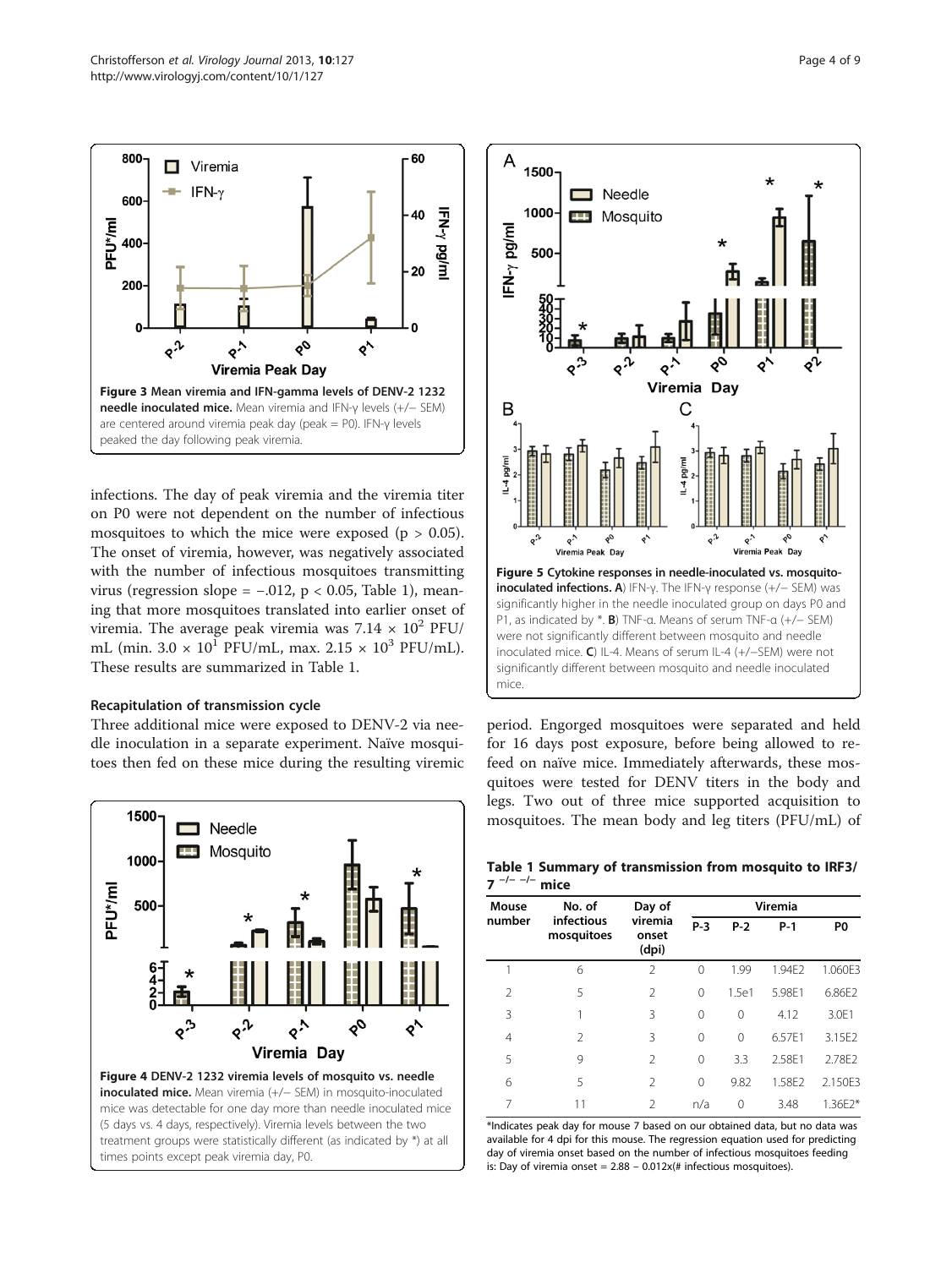<span id="page-3-0"></span>

infections. The day of peak viremia and the viremia titer on P0 were not dependent on the number of infectious mosquitoes to which the mice were exposed ( $p > 0.05$ ). The onset of viremia, however, was negatively associated with the number of infectious mosquitoes transmitting virus (regression slope =  $-.012$ , p < 0.05, Table 1), meaning that more mosquitoes translated into earlier onset of viremia. The average peak viremia was  $7.14 \times 10^2$  PFU/ mL (min.  $3.0 \times 10^{1}$  PFU/mL, max.  $2.15 \times 10^{3}$  PFU/mL). These results are summarized in Table 1.

#### Recapitulation of transmission cycle

Three additional mice were exposed to DENV-2 via needle inoculation in a separate experiment. Naïve mosquitoes then fed on these mice during the resulting viremic



(5 days vs. 4 days, respectively). Viremia levels between the two treatment groups were statistically different (as indicated by \*) at all times points except peak viremia day, P0.



period. Engorged mosquitoes were separated and held for 16 days post exposure, before being allowed to refeed on naïve mice. Immediately afterwards, these mosquitoes were tested for DENV titers in the body and legs. Two out of three mice supported acquisition to mosquitoes. The mean body and leg titers (PFU/mL) of

Table 1 Summary of transmission from mosquito to IRF3/ 7<sup> $-/- -/-$ </sup> mice

| Mouse<br>number | No. of<br>infectious<br>mosquitoes | Day of<br>viremia<br>onset<br>(dpi) | <b>Viremia</b> |          |        |                |
|-----------------|------------------------------------|-------------------------------------|----------------|----------|--------|----------------|
|                 |                                    |                                     | P-3            | $P-2$    | $P-1$  | P <sub>0</sub> |
| 1               | 6                                  | 2                                   | $\Omega$       | 1.99     | 1.94E2 | 1.060E3        |
| $\overline{2}$  | 5                                  | 2                                   | $\Omega$       | 1.5e1    | 5.98E1 | 6.86E2         |
| 3               | 1                                  | 3                                   | $\Omega$       | $\Omega$ | 4.12   | 3.0E1          |
| $\overline{4}$  | $\mathfrak{D}$                     | 3                                   | $\Omega$       | $\Omega$ | 6.57F1 | 3.15E2         |
| 5               | 9                                  | 2                                   | $\Omega$       | 3.3      | 2.58E1 | 2.78E2         |
| 6               | 5                                  | $\mathfrak{D}$                      | $\Omega$       | 9.82     | 1.58E2 | 2.150E3        |
| 7               | 11                                 | $\mathfrak{D}$                      | n/a            | 0        | 3.48   | 1.36E2*        |

\*Indicates peak day for mouse 7 based on our obtained data, but no data was available for 4 dpi for this mouse. The regression equation used for predicting day of viremia onset based on the number of infectious mosquitoes feeding is: Day of viremia onset =  $2.88 - 0.012x$ (# infectious mosquitoes).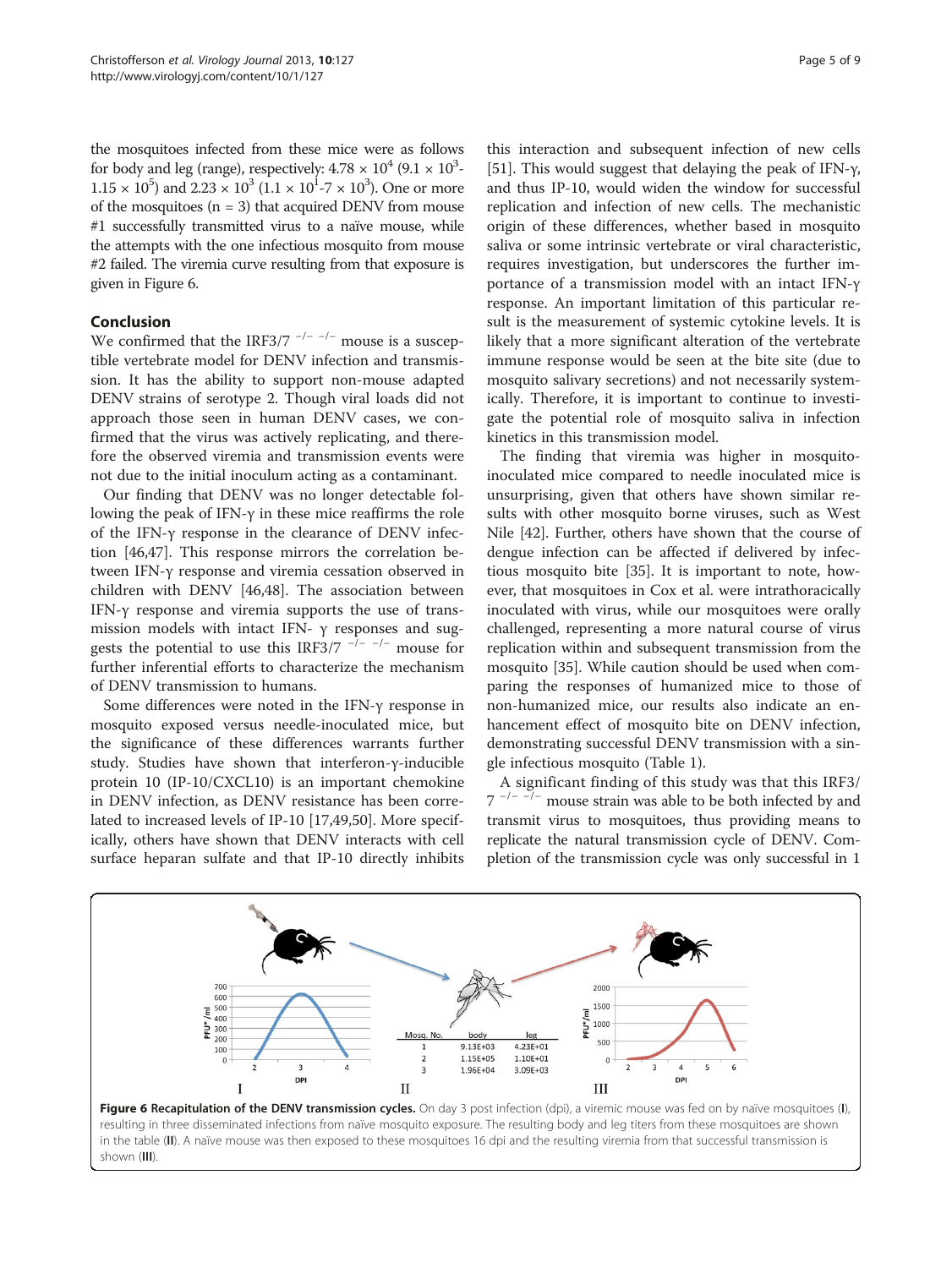the mosquitoes infected from these mice were as follows for body and leg (range), respectively:  $4.78 \times 10^4$  (9.1  $\times$   $10^3$ - $1.15 \times 10^5$ ) and  $2.23 \times 10^3$   $(1.1 \times 10^1 \text{--} 7 \times 10^3)$ . One or more of the mosquitoes  $(n = 3)$  that acquired DENV from mouse #1 successfully transmitted virus to a naïve mouse, while the attempts with the one infectious mosquito from mouse #2 failed. The viremia curve resulting from that exposure is given in Figure 6.

# Conclusion

We confirmed that the IRF3/7  $^{-/-}$   $^{-/-}$  mouse is a susceptible vertebrate model for DENV infection and transmission. It has the ability to support non-mouse adapted DENV strains of serotype 2. Though viral loads did not approach those seen in human DENV cases, we confirmed that the virus was actively replicating, and therefore the observed viremia and transmission events were not due to the initial inoculum acting as a contaminant.

Our finding that DENV was no longer detectable following the peak of IFN-γ in these mice reaffirms the role of the IFN-γ response in the clearance of DENV infection [[46,47\]](#page-8-0). This response mirrors the correlation between IFN-γ response and viremia cessation observed in children with DENV [[46](#page-8-0),[48](#page-8-0)]. The association between IFN-γ response and viremia supports the use of transmission models with intact IFN-  $\gamma$  responses and suggests the potential to use this IRF3/7  $^{-/-}$  -/- mouse for further inferential efforts to characterize the mechanism of DENV transmission to humans.

Some differences were noted in the IFN-γ response in mosquito exposed versus needle-inoculated mice, but the significance of these differences warrants further study. Studies have shown that interferon-γ-inducible protein 10 (IP-10/CXCL10) is an important chemokine in DENV infection, as DENV resistance has been correlated to increased levels of IP-10 [\[17](#page-7-0)[,49,50](#page-8-0)]. More specifically, others have shown that DENV interacts with cell surface heparan sulfate and that IP-10 directly inhibits

this interaction and subsequent infection of new cells [[51\]](#page-8-0). This would suggest that delaying the peak of IFN-γ, and thus IP-10, would widen the window for successful replication and infection of new cells. The mechanistic origin of these differences, whether based in mosquito saliva or some intrinsic vertebrate or viral characteristic, requires investigation, but underscores the further importance of a transmission model with an intact IFN-γ response. An important limitation of this particular result is the measurement of systemic cytokine levels. It is likely that a more significant alteration of the vertebrate immune response would be seen at the bite site (due to mosquito salivary secretions) and not necessarily systemically. Therefore, it is important to continue to investigate the potential role of mosquito saliva in infection kinetics in this transmission model.

The finding that viremia was higher in mosquitoinoculated mice compared to needle inoculated mice is unsurprising, given that others have shown similar results with other mosquito borne viruses, such as West Nile [\[42](#page-8-0)]. Further, others have shown that the course of dengue infection can be affected if delivered by infectious mosquito bite [\[35](#page-8-0)]. It is important to note, however, that mosquitoes in Cox et al. were intrathoracically inoculated with virus, while our mosquitoes were orally challenged, representing a more natural course of virus replication within and subsequent transmission from the mosquito [\[35](#page-8-0)]. While caution should be used when comparing the responses of humanized mice to those of non-humanized mice, our results also indicate an enhancement effect of mosquito bite on DENV infection, demonstrating successful DENV transmission with a single infectious mosquito (Table [1\)](#page-3-0).

A significant finding of this study was that this IRF3/  $7^{-/- -/-}$  mouse strain was able to be both infected by and transmit virus to mosquitoes, thus providing means to replicate the natural transmission cycle of DENV. Completion of the transmission cycle was only successful in 1

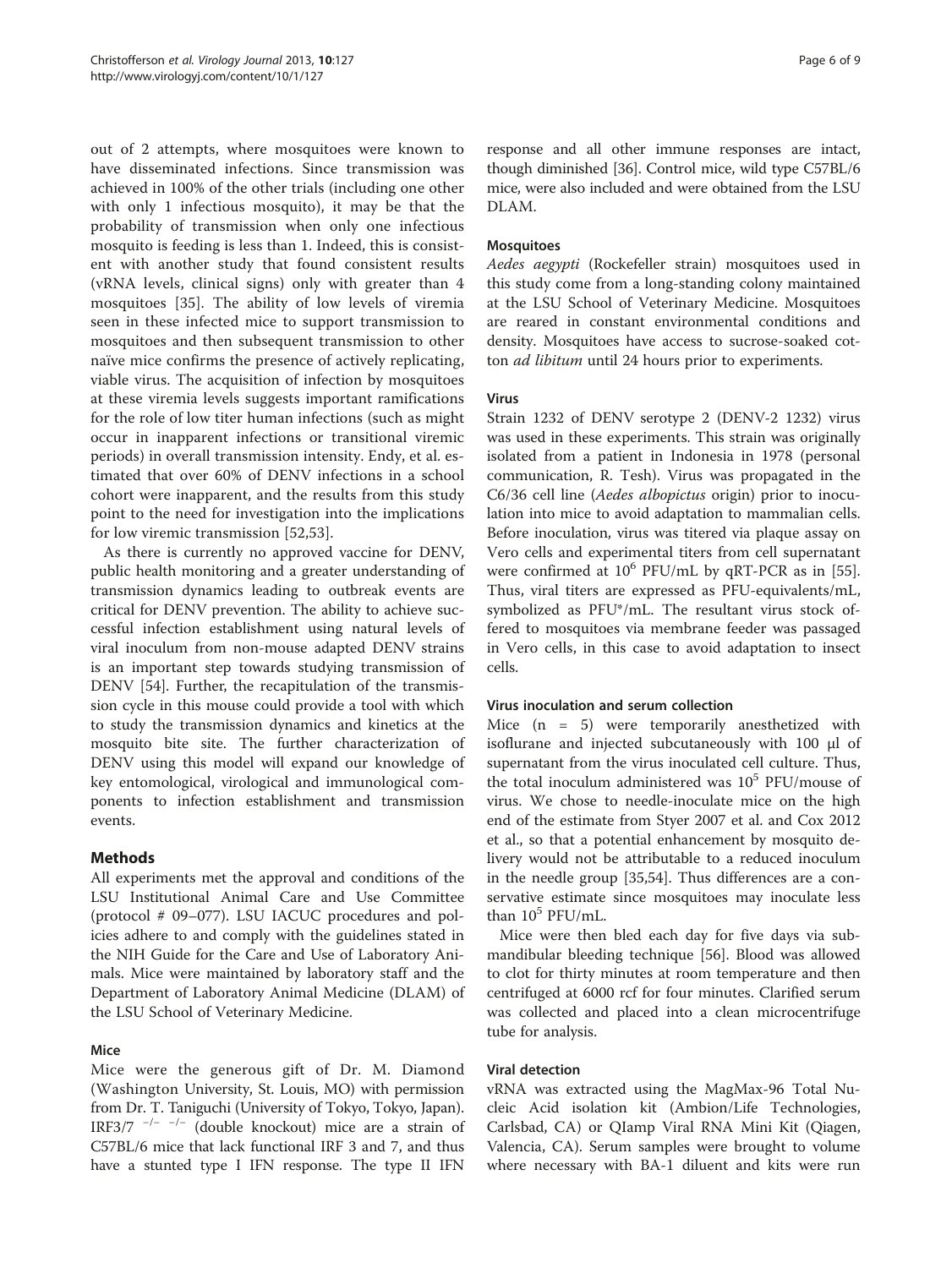out of 2 attempts, where mosquitoes were known to have disseminated infections. Since transmission was achieved in 100% of the other trials (including one other with only 1 infectious mosquito), it may be that the probability of transmission when only one infectious mosquito is feeding is less than 1. Indeed, this is consistent with another study that found consistent results (vRNA levels, clinical signs) only with greater than 4 mosquitoes [[35\]](#page-8-0). The ability of low levels of viremia seen in these infected mice to support transmission to mosquitoes and then subsequent transmission to other naïve mice confirms the presence of actively replicating, viable virus. The acquisition of infection by mosquitoes at these viremia levels suggests important ramifications for the role of low titer human infections (such as might occur in inapparent infections or transitional viremic periods) in overall transmission intensity. Endy, et al. estimated that over 60% of DENV infections in a school cohort were inapparent, and the results from this study point to the need for investigation into the implications for low viremic transmission [\[52,53](#page-8-0)].

As there is currently no approved vaccine for DENV, public health monitoring and a greater understanding of transmission dynamics leading to outbreak events are critical for DENV prevention. The ability to achieve successful infection establishment using natural levels of viral inoculum from non-mouse adapted DENV strains is an important step towards studying transmission of DENV [[54\]](#page-8-0). Further, the recapitulation of the transmission cycle in this mouse could provide a tool with which to study the transmission dynamics and kinetics at the mosquito bite site. The further characterization of DENV using this model will expand our knowledge of key entomological, virological and immunological components to infection establishment and transmission events.

# Methods

All experiments met the approval and conditions of the LSU Institutional Animal Care and Use Committee (protocol # 09–077). LSU IACUC procedures and policies adhere to and comply with the guidelines stated in the NIH Guide for the Care and Use of Laboratory Animals. Mice were maintained by laboratory staff and the Department of Laboratory Animal Medicine (DLAM) of the LSU School of Veterinary Medicine.

# Mice

Mice were the generous gift of Dr. M. Diamond (Washington University, St. Louis, MO) with permission from Dr. T. Taniguchi (University of Tokyo, Tokyo, Japan). IRF3/7 <sup>−</sup>/− −/<sup>−</sup> (double knockout) mice are a strain of C57BL/6 mice that lack functional IRF 3 and 7, and thus have a stunted type I IFN response. The type II IFN response and all other immune responses are intact, though diminished [[36](#page-8-0)]. Control mice, wild type C57BL/6 mice, were also included and were obtained from the LSU DLAM.

## **Mosquitoes**

Aedes aegypti (Rockefeller strain) mosquitoes used in this study come from a long-standing colony maintained at the LSU School of Veterinary Medicine. Mosquitoes are reared in constant environmental conditions and density. Mosquitoes have access to sucrose-soaked cotton ad libitum until 24 hours prior to experiments.

# Virus

Strain 1232 of DENV serotype 2 (DENV-2 1232) virus was used in these experiments. This strain was originally isolated from a patient in Indonesia in 1978 (personal communication, R. Tesh). Virus was propagated in the C6/36 cell line (Aedes albopictus origin) prior to inoculation into mice to avoid adaptation to mammalian cells. Before inoculation, virus was titered via plaque assay on Vero cells and experimental titers from cell supernatant were confirmed at  $10^6$  PFU/mL by qRT-PCR as in [\[55](#page-8-0)]. Thus, viral titers are expressed as PFU-equivalents/mL, symbolized as PFU\*/mL. The resultant virus stock offered to mosquitoes via membrane feeder was passaged in Vero cells, in this case to avoid adaptation to insect cells.

#### Virus inoculation and serum collection

Mice (n = 5) were temporarily anesthetized with isoflurane and injected subcutaneously with 100 μl of supernatant from the virus inoculated cell culture. Thus, the total inoculum administered was  $10^5$  PFU/mouse of virus. We chose to needle-inoculate mice on the high end of the estimate from Styer 2007 et al. and Cox 2012 et al., so that a potential enhancement by mosquito delivery would not be attributable to a reduced inoculum in the needle group [\[35,54](#page-8-0)]. Thus differences are a conservative estimate since mosquitoes may inoculate less than  $10^5$  PFU/mL.

Mice were then bled each day for five days via submandibular bleeding technique [\[56](#page-8-0)]. Blood was allowed to clot for thirty minutes at room temperature and then centrifuged at 6000 rcf for four minutes. Clarified serum was collected and placed into a clean microcentrifuge tube for analysis.

#### Viral detection

vRNA was extracted using the MagMax-96 Total Nucleic Acid isolation kit (Ambion/Life Technologies, Carlsbad, CA) or QIamp Viral RNA Mini Kit (Qiagen, Valencia, CA). Serum samples were brought to volume where necessary with BA-1 diluent and kits were run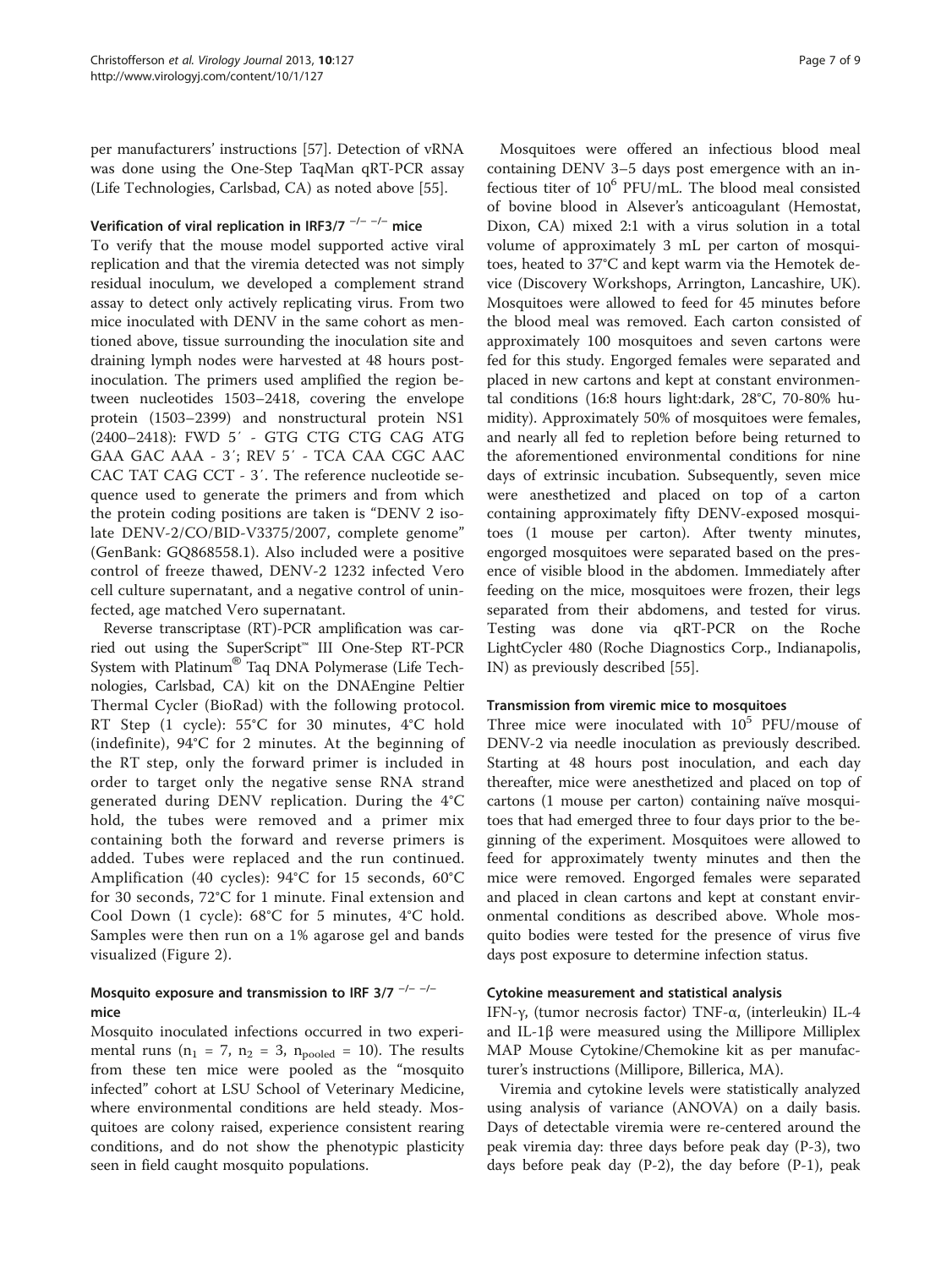per manufacturers' instructions [\[57](#page-8-0)]. Detection of vRNA was done using the One-Step TaqMan qRT-PCR assay (Life Technologies, Carlsbad, CA) as noted above [\[55\]](#page-8-0).

# Verification of viral replication in IRF3/7<sup>-/--/-</sup> mice

To verify that the mouse model supported active viral replication and that the viremia detected was not simply residual inoculum, we developed a complement strand assay to detect only actively replicating virus. From two mice inoculated with DENV in the same cohort as mentioned above, tissue surrounding the inoculation site and draining lymph nodes were harvested at 48 hours postinoculation. The primers used amplified the region between nucleotides 1503–2418, covering the envelope protein (1503–2399) and nonstructural protein NS1 (2400–2418): FWD 5′ - GTG CTG CTG CAG ATG GAA GAC AAA - 3′; REV 5′ - TCA CAA CGC AAC CAC TAT CAG CCT - 3′. The reference nucleotide sequence used to generate the primers and from which the protein coding positions are taken is "DENV 2 isolate DENV-2/CO/BID-V3375/2007, complete genome" (GenBank: GQ868558.1). Also included were a positive control of freeze thawed, DENV-2 1232 infected Vero cell culture supernatant, and a negative control of uninfected, age matched Vero supernatant.

Reverse transcriptase (RT)-PCR amplification was carried out using the SuperScript™ III One-Step RT-PCR System with Platinum® Taq DNA Polymerase (Life Technologies, Carlsbad, CA) kit on the DNAEngine Peltier Thermal Cycler (BioRad) with the following protocol. RT Step (1 cycle): 55°C for 30 minutes, 4°C hold (indefinite), 94°C for 2 minutes. At the beginning of the RT step, only the forward primer is included in order to target only the negative sense RNA strand generated during DENV replication. During the 4°C hold, the tubes were removed and a primer mix containing both the forward and reverse primers is added. Tubes were replaced and the run continued. Amplification (40 cycles): 94°C for 15 seconds, 60°C for 30 seconds, 72°C for 1 minute. Final extension and Cool Down (1 cycle): 68°C for 5 minutes, 4°C hold. Samples were then run on a 1% agarose gel and bands visualized (Figure [2](#page-2-0)).

# Mosquito exposure and transmission to IRF 3/7  $^{-/-}$   $^{-/-}$ mice

Mosquito inoculated infections occurred in two experimental runs ( $n_1 = 7$ ,  $n_2 = 3$ ,  $n_{pooled} = 10$ ). The results from these ten mice were pooled as the "mosquito infected" cohort at LSU School of Veterinary Medicine, where environmental conditions are held steady. Mosquitoes are colony raised, experience consistent rearing conditions, and do not show the phenotypic plasticity seen in field caught mosquito populations.

Mosquitoes were offered an infectious blood meal containing DENV 3–5 days post emergence with an infectious titer of  $10^6$  PFU/mL. The blood meal consisted of bovine blood in Alsever's anticoagulant (Hemostat, Dixon, CA) mixed 2:1 with a virus solution in a total volume of approximately 3 mL per carton of mosquitoes, heated to 37°C and kept warm via the Hemotek device (Discovery Workshops, Arrington, Lancashire, UK). Mosquitoes were allowed to feed for 45 minutes before the blood meal was removed. Each carton consisted of approximately 100 mosquitoes and seven cartons were fed for this study. Engorged females were separated and placed in new cartons and kept at constant environmental conditions (16:8 hours light:dark, 28°C, 70-80% humidity). Approximately 50% of mosquitoes were females, and nearly all fed to repletion before being returned to the aforementioned environmental conditions for nine days of extrinsic incubation. Subsequently, seven mice were anesthetized and placed on top of a carton containing approximately fifty DENV-exposed mosquitoes (1 mouse per carton). After twenty minutes, engorged mosquitoes were separated based on the presence of visible blood in the abdomen. Immediately after feeding on the mice, mosquitoes were frozen, their legs separated from their abdomens, and tested for virus. Testing was done via qRT-PCR on the Roche LightCycler 480 (Roche Diagnostics Corp., Indianapolis, IN) as previously described [\[55](#page-8-0)].

#### Transmission from viremic mice to mosquitoes

Three mice were inoculated with  $10^5$  PFU/mouse of DENV-2 via needle inoculation as previously described. Starting at 48 hours post inoculation, and each day thereafter, mice were anesthetized and placed on top of cartons (1 mouse per carton) containing naïve mosquitoes that had emerged three to four days prior to the beginning of the experiment. Mosquitoes were allowed to feed for approximately twenty minutes and then the mice were removed. Engorged females were separated and placed in clean cartons and kept at constant environmental conditions as described above. Whole mosquito bodies were tested for the presence of virus five days post exposure to determine infection status.

#### Cytokine measurement and statistical analysis

IFN-γ, (tumor necrosis factor) TNF-α, (interleukin) IL-4 and IL-1 $\beta$  were measured using the Millipore Milliplex MAP Mouse Cytokine/Chemokine kit as per manufacturer's instructions (Millipore, Billerica, MA).

Viremia and cytokine levels were statistically analyzed using analysis of variance (ANOVA) on a daily basis. Days of detectable viremia were re-centered around the peak viremia day: three days before peak day (P-3), two days before peak day (P-2), the day before (P-1), peak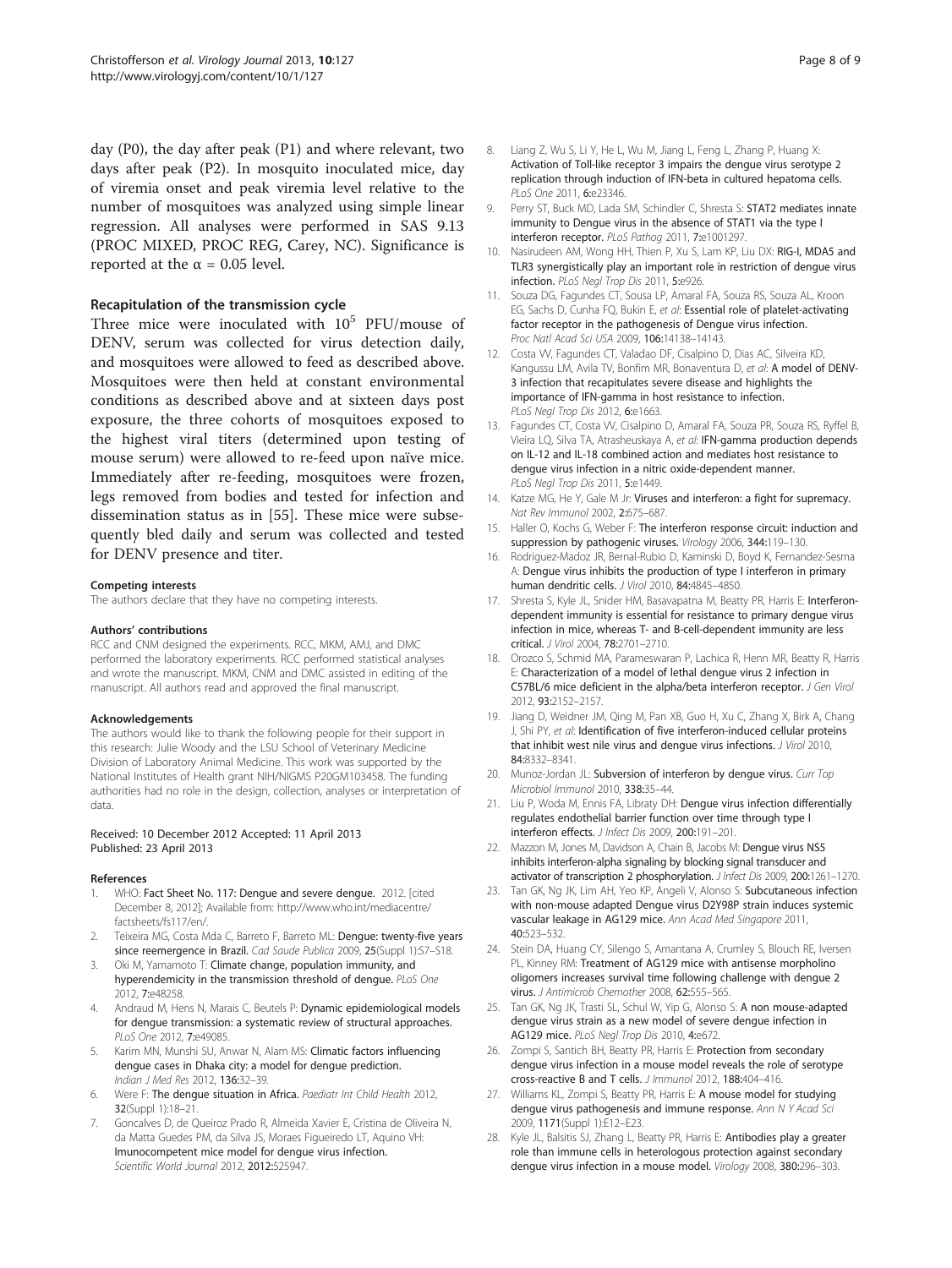<span id="page-7-0"></span>day (P0), the day after peak (P1) and where relevant, two days after peak (P2). In mosquito inoculated mice, day of viremia onset and peak viremia level relative to the number of mosquitoes was analyzed using simple linear regression. All analyses were performed in SAS 9.13 (PROC MIXED, PROC REG, Carey, NC). Significance is reported at the  $\alpha$  = 0.05 level.

#### Recapitulation of the transmission cycle

Three mice were inoculated with  $10^5$  PFU/mouse of DENV, serum was collected for virus detection daily, and mosquitoes were allowed to feed as described above. Mosquitoes were then held at constant environmental conditions as described above and at sixteen days post exposure, the three cohorts of mosquitoes exposed to the highest viral titers (determined upon testing of mouse serum) were allowed to re-feed upon naïve mice. Immediately after re-feeding, mosquitoes were frozen, legs removed from bodies and tested for infection and dissemination status as in [\[55](#page-8-0)]. These mice were subsequently bled daily and serum was collected and tested for DENV presence and titer.

#### Competing interests

The authors declare that they have no competing interests.

#### Authors' contributions

RCC and CNM designed the experiments. RCC, MKM, AMJ, and DMC performed the laboratory experiments. RCC performed statistical analyses and wrote the manuscript. MKM, CNM and DMC assisted in editing of the manuscript. All authors read and approved the final manuscript.

#### Acknowledgements

The authors would like to thank the following people for their support in this research: Julie Woody and the LSU School of Veterinary Medicine Division of Laboratory Animal Medicine. This work was supported by the National Institutes of Health grant NIH/NIGMS P20GM103458. The funding authorities had no role in the design, collection, analyses or interpretation of data.

#### Received: 10 December 2012 Accepted: 11 April 2013 Published: 23 April 2013

#### References

- WHO: Fact Sheet No. 117: Dengue and severe dengue. 2012. [cited December 8, 2012]; Available from: [http://www.who.int/mediacentre/](http://www.who.int/mediacentre/factsheets/fs117/en/) [factsheets/fs117/en/](http://www.who.int/mediacentre/factsheets/fs117/en/).
- Teixeira MG, Costa Mda C, Barreto F, Barreto ML: Dengue: twenty-five years since reemergence in Brazil. Cad Saude Publica 2009, 25(Suppl 1):S7–S18.
- 3. Oki M, Yamamoto T: Climate change, population immunity, and hyperendemicity in the transmission threshold of dengue. PLoS One 2012, 7:e48258.
- Andraud M, Hens N, Marais C, Beutels P: Dynamic epidemiological models for dengue transmission: a systematic review of structural approaches. PLoS One 2012, 7:e49085.
- 5. Karim MN, Munshi SU, Anwar N, Alam MS: Climatic factors influencing dengue cases in Dhaka city: a model for dengue prediction. Indian J Med Res 2012, 136:32–39.
- Were F: The dengue situation in Africa. Paediatr Int Child Health 2012, 32(Suppl 1):18–21.
- 7. Goncalves D, de Queiroz Prado R, Almeida Xavier E, Cristina de Oliveira N, da Matta Guedes PM, da Silva JS, Moraes Figueiredo LT, Aquino VH: Imunocompetent mice model for dengue virus infection. Scientific World Journal 2012, 2012:525947.
- 8. Liang Z, Wu S, Li Y, He L, Wu M, Jiang L, Feng L, Zhang P, Huang X: Activation of Toll-like receptor 3 impairs the dengue virus serotype 2 replication through induction of IFN-beta in cultured hepatoma cells. PLoS One 2011, 6:e23346.
- 9. Perry ST, Buck MD, Lada SM, Schindler C, Shresta S: STAT2 mediates innate immunity to Dengue virus in the absence of STAT1 via the type I interferon receptor. PLoS Pathog 2011, 7:e1001297.
- 10. Nasirudeen AM, Wong HH, Thien P, Xu S, Lam KP, Liu DX: RIG-I, MDA5 and TLR3 synergistically play an important role in restriction of dengue virus infection. PLoS Negl Trop Dis 2011, 5:e926.
- 11. Souza DG, Fagundes CT, Sousa LP, Amaral FA, Souza RS, Souza AL, Kroon EG, Sachs D, Cunha FQ, Bukin E, et al: Essential role of platelet-activating factor receptor in the pathogenesis of Dengue virus infection. Proc Natl Acad Sci USA 2009, 106:14138–14143.
- 12. Costa VV, Fagundes CT, Valadao DF, Cisalpino D, Dias AC, Silveira KD, Kangussu LM, Avila TV, Bonfim MR, Bonaventura D, et al: A model of DENV-3 infection that recapitulates severe disease and highlights the importance of IFN-gamma in host resistance to infection. PLoS Neal Trop Dis 2012, 6:e1663.
- 13. Fagundes CT, Costa VV, Cisalpino D, Amaral FA, Souza PR, Souza RS, Ryffel B, Vieira LQ, Silva TA, Atrasheuskaya A, et al: IFN-gamma production depends on IL-12 and IL-18 combined action and mediates host resistance to dengue virus infection in a nitric oxide-dependent manner. PLoS Negl Trop Dis 2011, 5:e1449.
- 14. Katze MG, He Y, Gale M Jr: Viruses and interferon: a fight for supremacy. Nat Rev Immunol 2002, 2:675–687.
- 15. Haller O, Kochs G, Weber F: The interferon response circuit: induction and suppression by pathogenic viruses. Virology 2006, 344:119-130.
- 16. Rodriguez-Madoz JR, Bernal-Rubio D, Kaminski D, Boyd K, Fernandez-Sesma A: Dengue virus inhibits the production of type I interferon in primary human dendritic cells. J Virol 2010, 84:4845–4850.
- 17. Shresta S, Kyle JL, Snider HM, Basavapatna M, Beatty PR, Harris E: Interferondependent immunity is essential for resistance to primary dengue virus infection in mice, whereas T- and B-cell-dependent immunity are less critical. J Virol 2004, 78:2701–2710.
- 18. Orozco S, Schmid MA, Parameswaran P, Lachica R, Henn MR, Beatty R, Harris E: Characterization of a model of lethal dengue virus 2 infection in C57BL/6 mice deficient in the alpha/beta interferon receptor. J Gen Virol 2012, 93:2152–2157.
- 19. Jiang D, Weidner JM, Qing M, Pan XB, Guo H, Xu C, Zhang X, Birk A, Chang J, Shi PY, et al: Identification of five interferon-induced cellular proteins that inhibit west nile virus and dengue virus infections. J Virol 2010, 84:8332–8341.
- 20. Munoz-Jordan JL: Subversion of interferon by dengue virus. Curr Top Microbiol Immunol 2010, 338:35–44.
- 21. Liu P, Woda M, Ennis FA, Libraty DH: Dengue virus infection differentially regulates endothelial barrier function over time through type I interferon effects. J Infect Dis 2009, 200:191–201.
- 22. Mazzon M, Jones M, Davidson A, Chain B, Jacobs M: Dengue virus NS5 inhibits interferon-alpha signaling by blocking signal transducer and activator of transcription 2 phosphorylation. J Infect Dis 2009, 200:1261-1270.
- 23. Tan GK, Ng JK, Lim AH, Yeo KP, Angeli V, Alonso S: Subcutaneous infection with non-mouse adapted Dengue virus D2Y98P strain induces systemic vascular leakage in AG129 mice. Ann Acad Med Singapore 2011, 40:523–532.
- 24. Stein DA, Huang CY, Silengo S, Amantana A, Crumley S, Blouch RE, Iversen PL, Kinney RM: Treatment of AG129 mice with antisense morpholino oligomers increases survival time following challenge with dengue 2 virus. J Antimicrob Chemother 2008, 62:555-565.
- 25. Tan GK, Ng JK, Trasti SL, Schul W, Yip G, Alonso S: A non mouse-adapted dengue virus strain as a new model of severe dengue infection in AG129 mice. PLoS Negl Trop Dis 2010, 4:e672.
- 26. Zompi S, Santich BH, Beatty PR, Harris E: Protection from secondary dengue virus infection in a mouse model reveals the role of serotype cross-reactive B and T cells. J Immunol 2012, 188:404–416.
- 27. Williams KL, Zompi S, Beatty PR, Harris E: A mouse model for studying dengue virus pathogenesis and immune response. Ann N Y Acad Sci 2009, 1171(Suppl 1):E12–E23.
- 28. Kyle JL, Balsitis SJ, Zhang L, Beatty PR, Harris E: Antibodies play a greater role than immune cells in heterologous protection against secondary dengue virus infection in a mouse model. Virology 2008, 380:296–303.